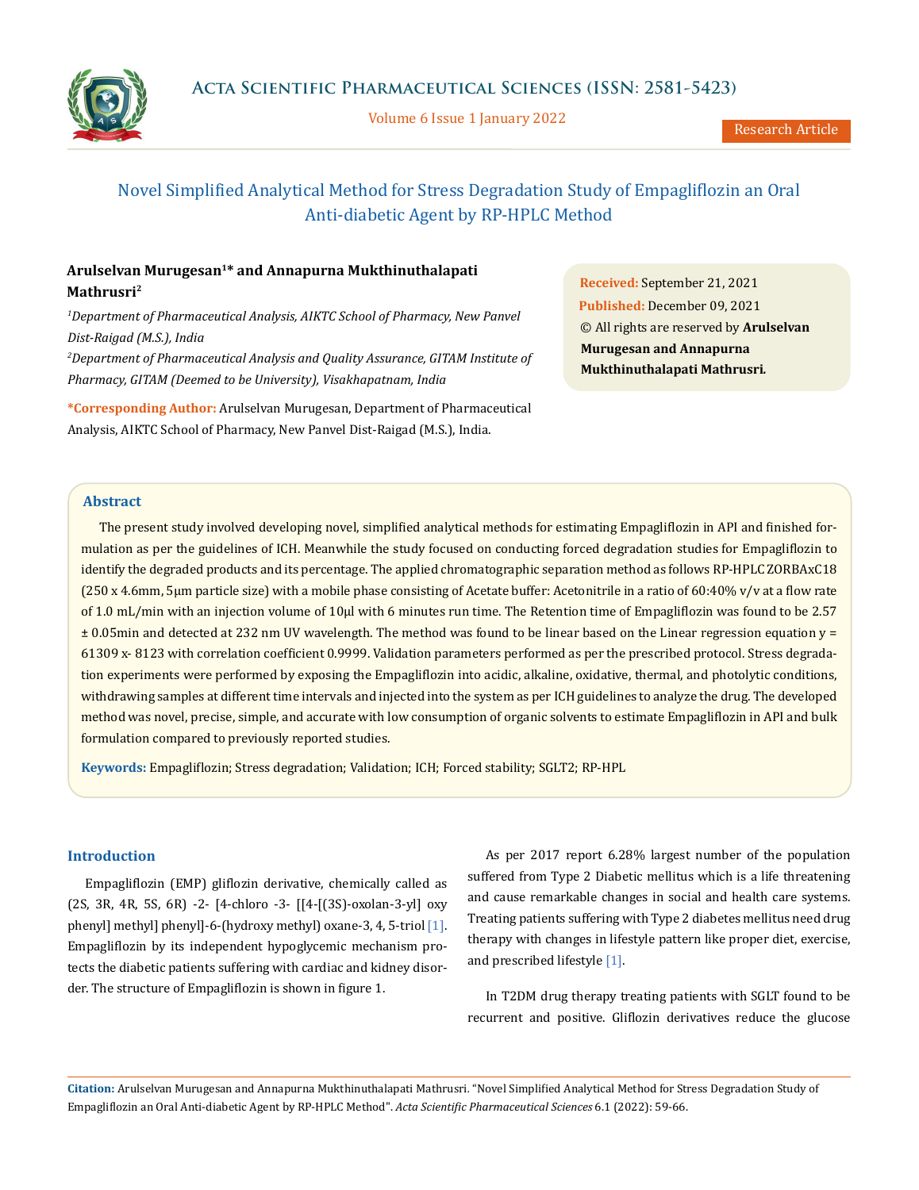Volume 6 Issue 1 January 2022



Research Article

# Novel Simplified Analytical Method for Stress Degradation Study of Empagliflozin an Oral Anti-diabetic Agent by RP-HPLC Method

# **Arulselvan Murugesan1\* and Annapurna Mukthinuthalapati Mathrusri2**

<sup>1</sup>Department of Pharmaceutical Analysis, AIKTC School of Pharmacy, New Panvel *Dist-Raigad (M.S.), India*

*2 Department of Pharmaceutical Analysis and Quality Assurance, GITAM Institute of Pharmacy, GITAM (Deemed to be University), Visakhapatnam, India*

**\*Corresponding Author:** Arulselvan Murugesan, Department of Pharmaceutical Analysis, AIKTC School of Pharmacy, New Panvel Dist-Raigad (M.S.), India.

**Received:** September 21, 2021 **Published:** December 09, 2021 © All rights are reserved by **Arulselvan Murugesan and Annapurna Mukthinuthalapati Mathrusri***.*

# **Abstract**

The present study involved developing novel, simplified analytical methods for estimating Empagliflozin in API and finished formulation as per the guidelines of ICH. Meanwhile the study focused on conducting forced degradation studies for Empagliflozin to identify the degraded products and its percentage. The applied chromatographic separation method as follows RP-HPLC ZORBAxC18  $(250 \times 4.6$ mm, 5 km particle size) with a mobile phase consisting of Acetate buffer: Acetonitrile in a ratio of 60:40% v/v at a flow rate of 1.0 mL/min with an injection volume of 10μl with 6 minutes run time. The Retention time of Empagliflozin was found to be 2.57 ± 0.05min and detected at 232 nm UV wavelength. The method was found to be linear based on the Linear regression equation y = 61309 x- 8123 with correlation coefficient 0.9999. Validation parameters performed as per the prescribed protocol. Stress degradation experiments were performed by exposing the Empagliflozin into acidic, alkaline, oxidative, thermal, and photolytic conditions, withdrawing samples at different time intervals and injected into the system as per ICH guidelines to analyze the drug. The developed method was novel, precise, simple, and accurate with low consumption of organic solvents to estimate Empagliflozin in API and bulk formulation compared to previously reported studies.

**Keywords:** Empagliflozin; Stress degradation; Validation; ICH; Forced stability; SGLT2; RP-HPL

# **Introduction**

Empagliflozin (EMP) gliflozin derivative, chemically called as (2S, 3R, 4R, 5S, 6R) -2- [4-chloro -3- [[4-[(3S)-oxolan-3-yl] oxy phenyl] methyl] phenyl]-6-(hydroxy methyl) oxane-3, 4, 5-triol [1]. Empagliflozin by its independent hypoglycemic mechanism protects the diabetic patients suffering with cardiac and kidney disorder. The structure of Empagliflozin is shown in figure 1.

As per 2017 report 6.28% largest number of the population suffered from Type 2 Diabetic mellitus which is a life threatening and cause remarkable changes in social and health care systems. Treating patients suffering with Type 2 diabetes mellitus need drug therapy with changes in lifestyle pattern like proper diet, exercise, and prescribed lifestyle [1].

In T2DM drug therapy treating patients with SGLT found to be recurrent and positive. Gliflozin derivatives reduce the glucose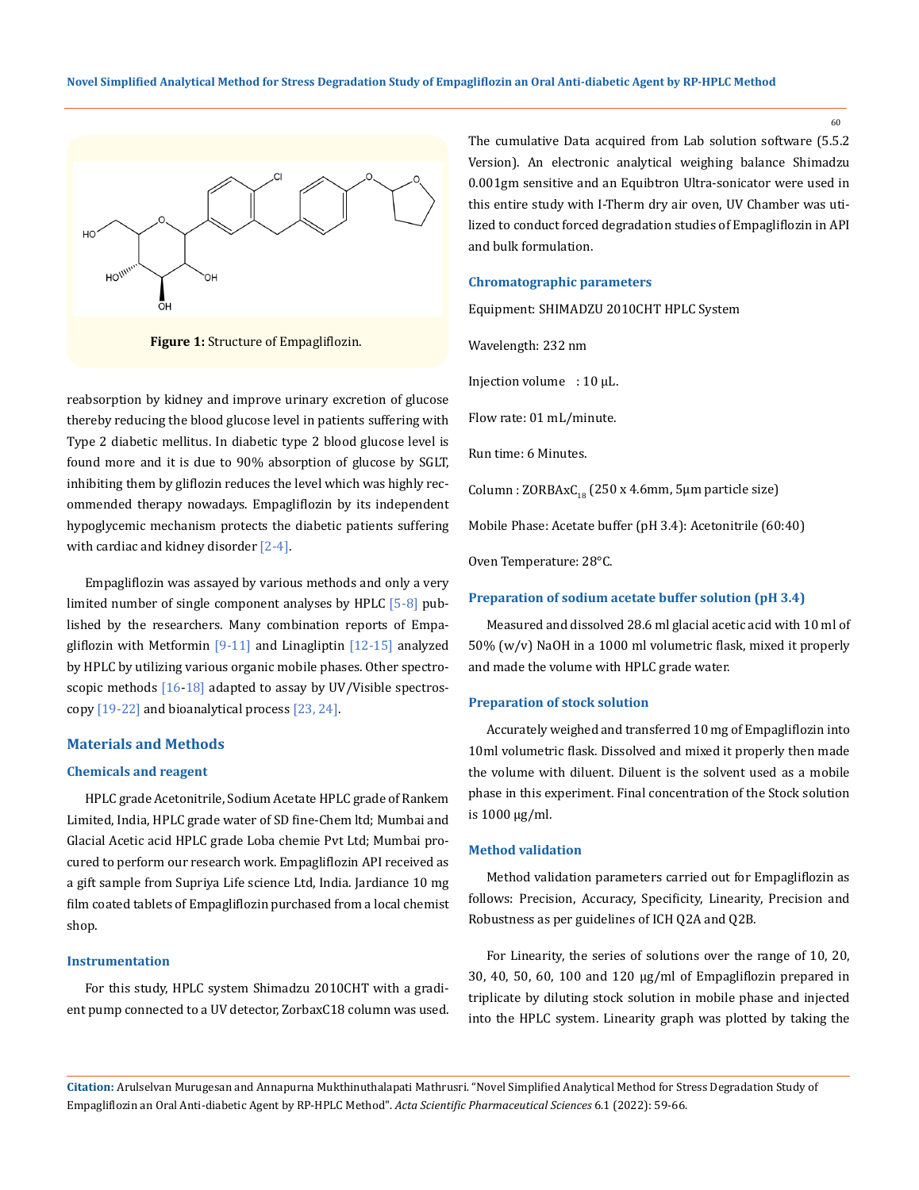

**Figure 1:** Structure of Empagliflozin.

reabsorption by kidney and improve urinary excretion of glucose thereby reducing the blood glucose level in patients suffering with Type 2 diabetic mellitus. In diabetic type 2 blood glucose level is found more and it is due to 90% absorption of glucose by SGLT, inhibiting them by gliflozin reduces the level which was highly recommended therapy nowadays. Empagliflozin by its independent hypoglycemic mechanism protects the diabetic patients suffering with cardiac and kidney disorder [2-4].

Empagliflozin was assayed by various methods and only a very limited number of single component analyses by HPLC [5-8] published by the researchers. Many combination reports of Empagliflozin with Metformin [9-11] and Linagliptin [12-15] analyzed by HPLC by utilizing various organic mobile phases. Other spectroscopic methods  $[16-18]$  adapted to assay by UV/Visible spectroscopy [19-22] and bioanalytical process [23, 24].

#### **Materials and Methods**

#### **Chemicals and reagent**

HPLC grade Acetonitrile, Sodium Acetate HPLC grade of Rankem Limited, India, HPLC grade water of SD fine-Chem ltd; Mumbai and Glacial Acetic acid HPLC grade Loba chemie Pvt Ltd; Mumbai procured to perform our research work. Empagliflozin API received as a gift sample from Supriya Life science Ltd, India. Jardiance 10 mg film coated tablets of Empagliflozin purchased from a local chemist shop.

## **Instrumentation**

For this study, HPLC system Shimadzu 2010CHT with a gradient pump connected to a UV detector, ZorbaxC18 column was used. The cumulative Data acquired from Lab solution software (5.5.2 Version). An electronic analytical weighing balance Shimadzu 0.001gm sensitive and an Equibtron Ultra-sonicator were used in this entire study with I-Therm dry air oven, UV Chamber was utilized to conduct forced degradation studies of Empagliflozin in API and bulk formulation.

## **Chromatographic parameters**

Equipment: SHIMADZU 2010CHT HPLC System

Wavelength: 232 nm

Injection volume :  $10 \mu L$ .

Flow rate: 01 mL/minute.

Run time: 6 Minutes.

Column :  $ZORBAxC_{18}$  (250 x 4.6mm, 5µm particle size)

Mobile Phase: Acetate buffer (pH 3.4): Acetonitrile (60:40)

Oven Temperature: 28°C.

#### **Preparation of sodium acetate buffer solution (pH 3.4)**

Measured and dissolved 28.6 ml glacial acetic acid with 10 ml of 50% (w/v) NaOH in a 1000 ml volumetric flask, mixed it properly and made the volume with HPLC grade water.

#### **Preparation of stock solution**

Accurately weighed and transferred 10 mg of Empagliflozin into 10ml volumetric flask. Dissolved and mixed it properly then made the volume with diluent. Diluent is the solvent used as a mobile phase in this experiment. Final concentration of the Stock solution is 1000 µg/ml.

## **Method validation**

Method validation parameters carried out for Empagliflozin as follows: Precision, Accuracy, Specificity, Linearity, Precision and Robustness as per guidelines of ICH Q2A and Q2B.

For Linearity, the series of solutions over the range of 10, 20, 30, 40, 50, 60, 100 and 120 μg/ml of Empagliflozin prepared in triplicate by diluting stock solution in mobile phase and injected into the HPLC system. Linearity graph was plotted by taking the

**Citation:** Arulselvan Murugesan and Annapurna Mukthinuthalapati Mathrusri*.* "Novel Simplified Analytical Method for Stress Degradation Study of Empagliflozin an Oral Anti-diabetic Agent by RP-HPLC Method". *Acta Scientific Pharmaceutical Sciences* 6.1 (2022): 59-66.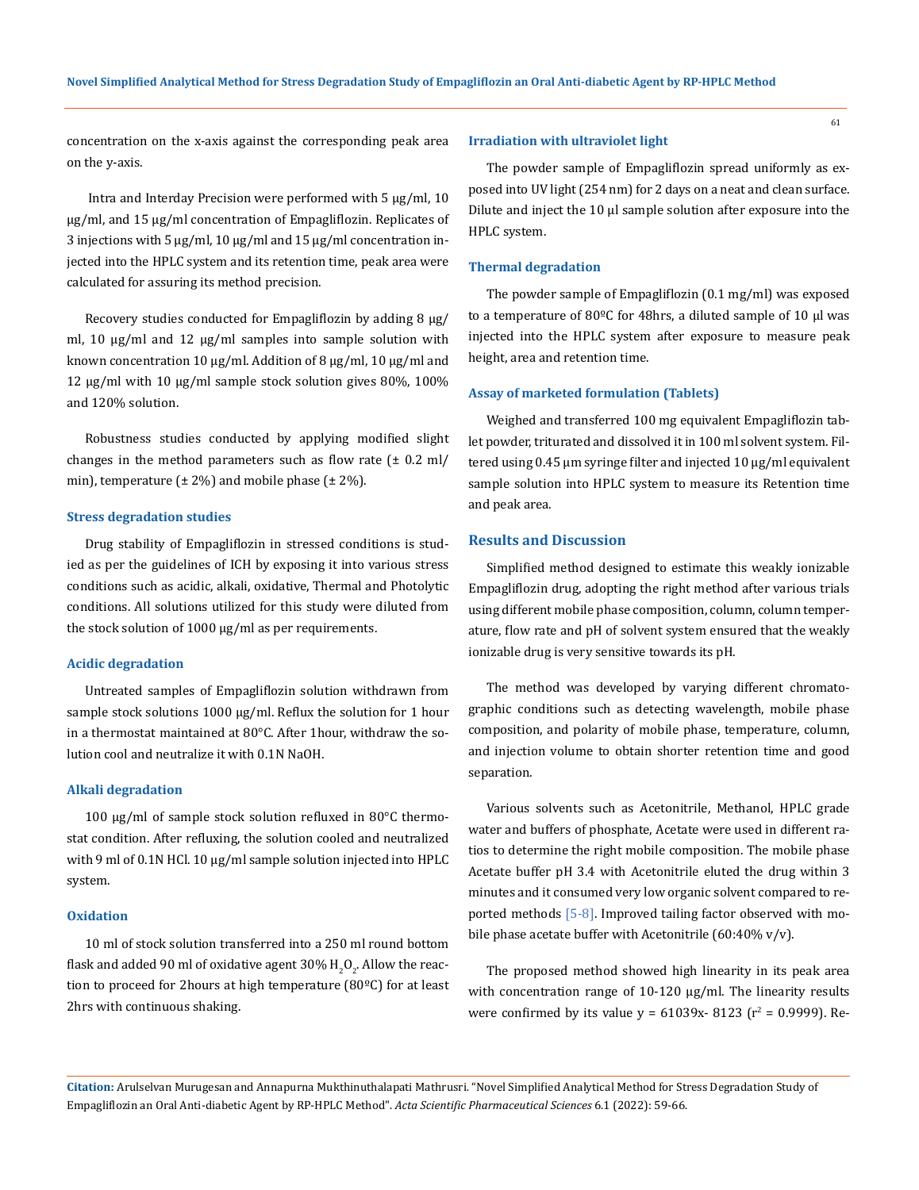61

concentration on the x-axis against the corresponding peak area on the y-axis.

 Intra and Interday Precision were performed with 5 µg/ml, 10 µg/ml, and 15 µg/ml concentration of Empagliflozin. Replicates of 3 injections with 5 µg/ml, 10 µg/ml and 15 µg/ml concentration injected into the HPLC system and its retention time, peak area were calculated for assuring its method precision.

Recovery studies conducted for Empagliflozin by adding 8  $\mu$ g/ ml, 10 µg/ml and 12 µg/ml samples into sample solution with known concentration 10 µg/ml. Addition of 8 µg/ml, 10 µg/ml and 12 µg/ml with 10 µg/ml sample stock solution gives 80%, 100% and 120% solution.

Robustness studies conducted by applying modified slight changes in the method parameters such as flow rate  $(\pm 0.2 \text{ ml})$ min), temperature  $(\pm 2\%)$  and mobile phase  $(\pm 2\%)$ .

#### **Stress degradation studies**

Drug stability of Empagliflozin in stressed conditions is studied as per the guidelines of ICH by exposing it into various stress conditions such as acidic, alkali, oxidative, Thermal and Photolytic conditions. All solutions utilized for this study were diluted from the stock solution of 1000 μg/ml as per requirements.

#### **Acidic degradation**

Untreated samples of Empagliflozin solution withdrawn from sample stock solutions 1000 µg/ml. Reflux the solution for 1 hour in a thermostat maintained at 80°C. After 1hour, withdraw the solution cool and neutralize it with 0.1N NaOH.

### **Alkali degradation**

100 µg/ml of sample stock solution refluxed in 80°C thermostat condition. After refluxing, the solution cooled and neutralized with 9 ml of 0.1N HCl. 10 µg/ml sample solution injected into HPLC system.

#### **Oxidation**

10 ml of stock solution transferred into a 250 ml round bottom flask and added 90 ml of oxidative agent 30%  $\rm H_2O_2$ . Allow the reaction to proceed for 2hours at high temperature (80ºC) for at least 2hrs with continuous shaking.

#### **Irradiation with ultraviolet light**

The powder sample of Empagliflozin spread uniformly as exposed into UV light (254 nm) for 2 days on a neat and clean surface. Dilute and inject the 10 µl sample solution after exposure into the HPLC system.

#### **Thermal degradation**

The powder sample of Empagliflozin (0.1 mg/ml) was exposed to a temperature of 80 $^{\circ}$ C for 48hrs, a diluted sample of 10  $\mu$ l was injected into the HPLC system after exposure to measure peak height, area and retention time.

#### **Assay of marketed formulation (Tablets)**

Weighed and transferred 100 mg equivalent Empagliflozin tablet powder, triturated and dissolved it in 100 ml solvent system. Filtered using 0.45 µm syringe filter and injected 10 µg/ml equivalent sample solution into HPLC system to measure its Retention time and peak area.

### **Results and Discussion**

Simplified method designed to estimate this weakly ionizable Empagliflozin drug, adopting the right method after various trials using different mobile phase composition, column, column temperature, flow rate and pH of solvent system ensured that the weakly ionizable drug is very sensitive towards its pH.

The method was developed by varying different chromatographic conditions such as detecting wavelength, mobile phase composition, and polarity of mobile phase, temperature, column, and injection volume to obtain shorter retention time and good separation.

Various solvents such as Acetonitrile, Methanol, HPLC grade water and buffers of phosphate, Acetate were used in different ratios to determine the right mobile composition. The mobile phase Acetate buffer pH 3.4 with Acetonitrile eluted the drug within 3 minutes and it consumed very low organic solvent compared to reported methods [5-8]. Improved tailing factor observed with mobile phase acetate buffer with Acetonitrile (60:40% v/v).

The proposed method showed high linearity in its peak area with concentration range of 10-120 µg/ml. The linearity results were confirmed by its value  $y = 61039x - 8123$  (r<sup>2</sup> = 0.9999). Re-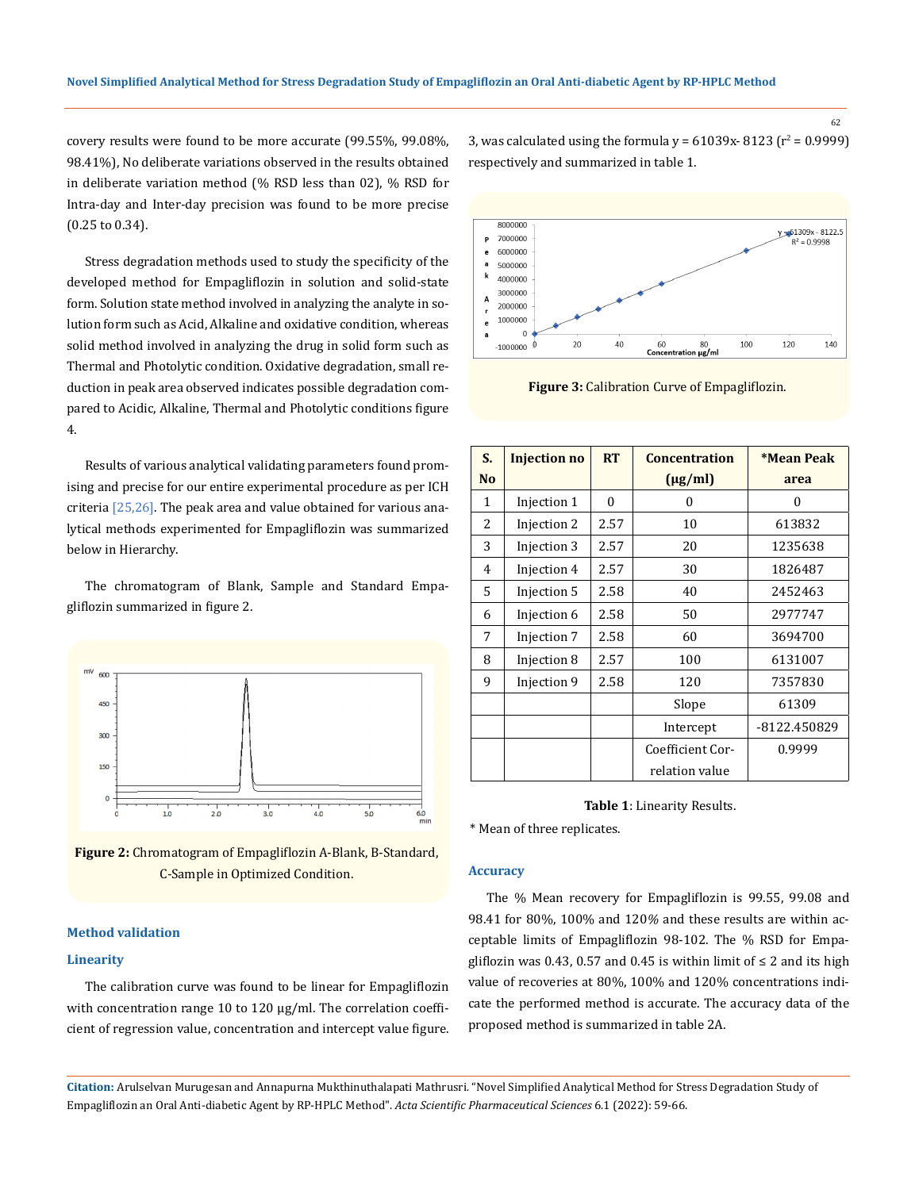62

covery results were found to be more accurate (99.55%, 99.08%, 98.41%), No deliberate variations observed in the results obtained in deliberate variation method (% RSD less than 02), % RSD for Intra-day and Inter-day precision was found to be more precise (0.25 to 0.34).

Stress degradation methods used to study the specificity of the developed method for Empagliflozin in solution and solid-state form. Solution state method involved in analyzing the analyte in solution form such as Acid, Alkaline and oxidative condition, whereas solid method involved in analyzing the drug in solid form such as Thermal and Photolytic condition. Oxidative degradation, small reduction in peak area observed indicates possible degradation compared to Acidic, Alkaline, Thermal and Photolytic conditions figure 4.

Results of various analytical validating parameters found promising and precise for our entire experimental procedure as per ICH criteria [25,26]. The peak area and value obtained for various analytical methods experimented for Empagliflozin was summarized below in Hierarchy.

The chromatogram of Blank, Sample and Standard Empagliflozin summarized in figure 2.



**Figure 2:** Chromatogram of Empagliflozin A-Blank, B-Standard, C-Sample in Optimized Condition.

# **Method validation**

### **Linearity**

The calibration curve was found to be linear for Empagliflozin with concentration range 10 to 120 µg/ml. The correlation coefficient of regression value, concentration and intercept value figure.

3, was calculated using the formula  $y = 61039x - 8123$  (r<sup>2</sup> = 0.9999) respectively and summarized in table 1.



**Figure 3:** Calibration Curve of Empagliflozin.

| S.             | <b>Injection no</b> | <b>RT</b> | <b>Concentration</b> | <b>*Mean Peak</b> |
|----------------|---------------------|-----------|----------------------|-------------------|
| N <sub>o</sub> |                     |           | $(\mu g/ml)$         | area              |
| 1              | Injection 1         | 0         | 0                    | $\theta$          |
| 2              | Injection 2         | 2.57      | 10                   | 613832            |
| 3              | Injection 3         | 2.57      | 20                   | 1235638           |
| 4              | Injection 4         | 2.57      | 30                   | 1826487           |
| 5              | Injection 5         | 2.58      | 40                   | 2452463           |
| 6              | Injection 6         | 2.58      | 50                   | 2977747           |
| 7              | Injection 7         | 2.58      | 60                   | 3694700           |
| 8              | Injection 8         | 2.57      | 100                  | 6131007           |
| 9              | Injection 9         | 2.58      | 120                  | 7357830           |
|                |                     |           | Slope                | 61309             |
|                |                     |           | Intercept            | -8122.450829      |
|                |                     |           | Coefficient Cor-     | 0.9999            |
|                |                     |           | relation value       |                   |

**Table 1**: Linearity Results.

\* Mean of three replicates.

#### **Accuracy**

The % Mean recovery for Empagliflozin is 99.55, 99.08 and 98.41 for 80%, 100% and 120*%* and these results are within acceptable limits of Empagliflozin 98-102. The % RSD for Empagliflozin was 0.43, 0.57 and 0.45 is within limit of  $\leq 2$  and its high value of recoveries at 80%, 100% and 120% concentrations indicate the performed method is accurate. The accuracy data of the proposed method is summarized in table 2A.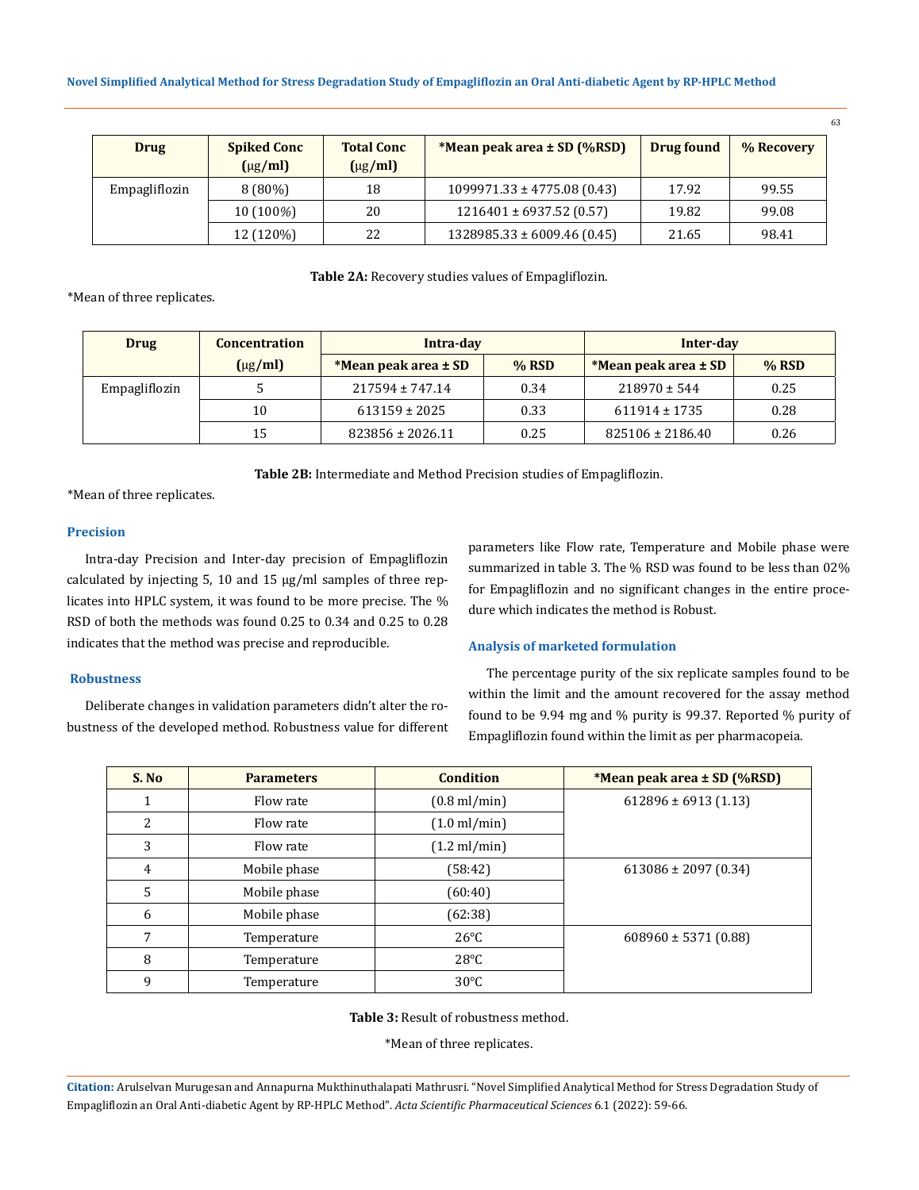| <b>Drug</b>   | <b>Spiked Conc</b><br>$(\mu g/ml)$ | <b>Total Conc</b><br>$(\mu g/ml)$ | *Mean peak area ± SD (%RSD)     | Drug found | % Recovery |
|---------------|------------------------------------|-----------------------------------|---------------------------------|------------|------------|
| Empagliflozin | $8(80\%)$                          | 18                                | $1099971.33 \pm 4775.08$ (0.43) | 17.92      | 99.55      |
|               | $10(100\%)$                        | 20                                | $1216401 \pm 6937.52$ (0.57)    | 19.82      | 99.08      |
|               | 12 (120%)                          | 22                                | $1328985.33 \pm 6009.46(0.45)$  | 21.65      | 98.41      |

#### **Table 2A:** Recovery studies values of Empagliflozin.

\*Mean of three replicates.

| <b>Drug</b>   | <b>Concentration</b> | Intra-day            |         | Inter-day            |         |
|---------------|----------------------|----------------------|---------|----------------------|---------|
|               | $(\mu g/ml)$         | *Mean peak area ± SD | $%$ RSD | *Mean peak area ± SD | $%$ RSD |
| Empagliflozin |                      | $217594 \pm 747.14$  | 0.34    | $218970 \pm 544$     | 0.25    |
|               | 10                   | $613159 \pm 2025$    | 0.33    | $611914 \pm 1735$    | 0.28    |
|               | 15                   | $823856 \pm 2026.11$ | 0.25    | $825106 \pm 2186.40$ | 0.26    |

**Table 2B:** Intermediate and Method Precision studies of Empagliflozin.

\*Mean of three replicates.

## **Precision**

Intra-day Precision and Inter-day precision of Empagliflozin calculated by injecting 5, 10 and 15 µg/ml samples of three replicates into HPLC system, it was found to be more precise. The % RSD of both the methods was found 0.25 to 0.34 and 0.25 to 0.28 indicates that the method was precise and reproducible.

# **Robustness**

Deliberate changes in validation parameters didn't alter the robustness of the developed method. Robustness value for different parameters like Flow rate, Temperature and Mobile phase were summarized in table 3. The % RSD was found to be less than 02% for Empagliflozin and no significant changes in the entire procedure which indicates the method is Robust.

## **Analysis of marketed formulation**

The percentage purity of the six replicate samples found to be within the limit and the amount recovered for the assay method found to be 9.94 mg and % purity is 99.37. Reported % purity of Empagliflozin found within the limit as per pharmacopeia.

| S. No | <b>Parameters</b> | <b>Condition</b>       | <i>*Mean peak area ± SD (%RSD)</i> |  |
|-------|-------------------|------------------------|------------------------------------|--|
| 1     | Flow rate         | $(0.8 \text{ ml/min})$ | $612896 \pm 6913$ (1.13)           |  |
| 2     | Flow rate         | $(1.0 \text{ ml/min})$ |                                    |  |
| 3     | Flow rate         | $(1.2 \text{ ml/min})$ |                                    |  |
| 4     | Mobile phase      | (58:42)                | $613086 \pm 2097$ (0.34)           |  |
| 5     | Mobile phase      | (60:40)                |                                    |  |
| 6     | Mobile phase      | (62:38)                |                                    |  |
| 7     | Temperature       | $26^{\circ}$ C         | $608960 \pm 5371 (0.88)$           |  |
| 8     | Temperature       | $28^{\circ}$ C         |                                    |  |
| 9     | Temperature       | $30^{\circ}$ C         |                                    |  |

**Table 3:** Result of robustness method.

\*Mean of three replicates.

**Citation:** Arulselvan Murugesan and Annapurna Mukthinuthalapati Mathrusri*.* "Novel Simplified Analytical Method for Stress Degradation Study of Empagliflozin an Oral Anti-diabetic Agent by RP-HPLC Method". *Acta Scientific Pharmaceutical Sciences* 6.1 (2022): 59-66.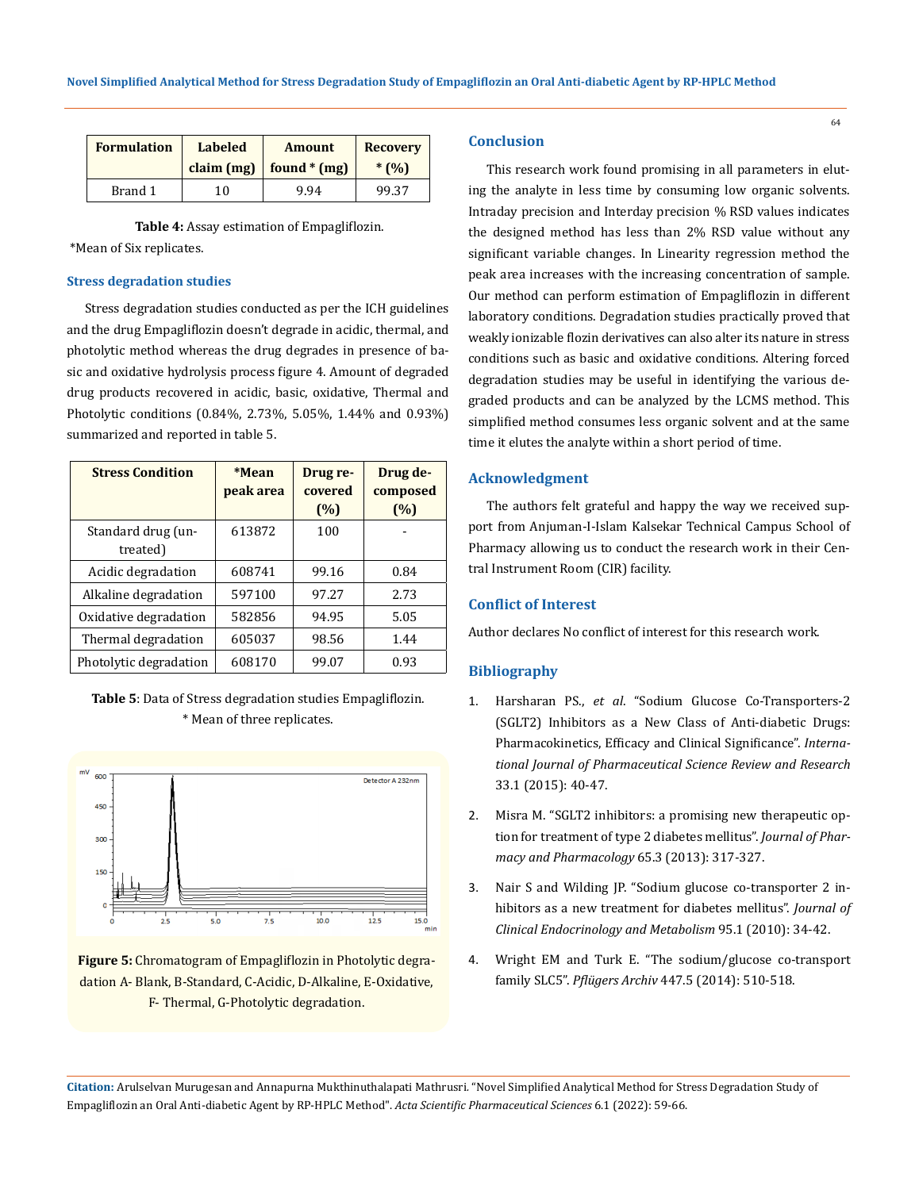| <b>Formulation</b> | <b>Labeled</b><br><b>Amount</b><br>found $*(mg)$<br>claim $(mg)$ |      | <b>Recovery</b><br>$*$ (%) |  |
|--------------------|------------------------------------------------------------------|------|----------------------------|--|
| Brand 1            | 10                                                               | 9.94 | 99.37                      |  |

 **Table 4:** Assay estimation of Empagliflozin. \*Mean of Six replicates.

## **Stress degradation studies**

Stress degradation studies conducted as per the ICH guidelines and the drug Empagliflozin doesn't degrade in acidic, thermal, and photolytic method whereas the drug degrades in presence of basic and oxidative hydrolysis process figure 4. Amount of degraded drug products recovered in acidic, basic, oxidative, Thermal and Photolytic conditions (0.84%, 2.73%, 5.05%, 1.44% and 0.93%) summarized and reported in table 5.

| <b>Stress Condition</b>        | *Mean<br>peak area | Drug re-<br>covered<br>(%) | Drug de-<br>composed<br>(%) |
|--------------------------------|--------------------|----------------------------|-----------------------------|
| Standard drug (un-<br>treated) | 613872             | 100                        |                             |
| Acidic degradation             | 608741             | 99.16                      | 0.84                        |
| Alkaline degradation           | 597100             | 97.27                      | 2.73                        |
| Oxidative degradation          | 582856             | 94.95                      | 5.05                        |
| Thermal degradation            | 605037             | 98.56                      | 1.44                        |
| Photolytic degradation         | 608170             | 99.07                      | 0.93                        |

**Table 5**: Data of Stress degradation studies Empagliflozin. \* Mean of three replicates.



**Figure 5:** Chromatogram of Empagliflozin in Photolytic degradation A- Blank, B-Standard, C-Acidic, D-Alkaline, E-Oxidative, F- Thermal, G-Photolytic degradation.

## **Conclusion**

This research work found promising in all parameters in eluting the analyte in less time by consuming low organic solvents. Intraday precision and Interday precision % RSD values indicates the designed method has less than 2% RSD value without any significant variable changes. In Linearity regression method the peak area increases with the increasing concentration of sample. Our method can perform estimation of Empagliflozin in different laboratory conditions. Degradation studies practically proved that weakly ionizable flozin derivatives can also alter its nature in stress conditions such as basic and oxidative conditions. Altering forced degradation studies may be useful in identifying the various degraded products and can be analyzed by the LCMS method. This simplified method consumes less organic solvent and at the same time it elutes the analyte within a short period of time.

## **Acknowledgment**

The authors felt grateful and happy the way we received support from Anjuman-I-Islam Kalsekar Technical Campus School of Pharmacy allowing us to conduct the research work in their Central Instrument Room (CIR) facility.

# **Conflict of Interest**

Author declares No conflict of interest for this research work.

#### **Bibliography**

- 1. Harsharan PS., *et al*[. "Sodium Glucose Co-Transporters-2](https://www.researchgate.net/publication/278678046_Sodium_Glucose_Co-Transporter-2_SGLT2_Inhibitors_as_a_New_Class_of_Anti-diabetic_Drugs_Pharmacokinetics_Efficacy_and_Clinical_significance) [\(SGLT2\) Inhibitors as a New Class of Anti-diabetic Drugs:](https://www.researchgate.net/publication/278678046_Sodium_Glucose_Co-Transporter-2_SGLT2_Inhibitors_as_a_New_Class_of_Anti-diabetic_Drugs_Pharmacokinetics_Efficacy_and_Clinical_significance) [Pharmacokinetics, Efficacy and Clinical Significance".](https://www.researchgate.net/publication/278678046_Sodium_Glucose_Co-Transporter-2_SGLT2_Inhibitors_as_a_New_Class_of_Anti-diabetic_Drugs_Pharmacokinetics_Efficacy_and_Clinical_significance) *Interna[tional Journal of Pharmaceutical Science Review and Research](https://www.researchgate.net/publication/278678046_Sodium_Glucose_Co-Transporter-2_SGLT2_Inhibitors_as_a_New_Class_of_Anti-diabetic_Drugs_Pharmacokinetics_Efficacy_and_Clinical_significance)* [33.1 \(2015\): 40-47.](https://www.researchgate.net/publication/278678046_Sodium_Glucose_Co-Transporter-2_SGLT2_Inhibitors_as_a_New_Class_of_Anti-diabetic_Drugs_Pharmacokinetics_Efficacy_and_Clinical_significance)
- 2. [Misra M. "SGLT2 inhibitors: a promising new therapeutic op](https://pubmed.ncbi.nlm.nih.gov/23356840/)[tion for treatment of type 2 diabetes mellitus".](https://pubmed.ncbi.nlm.nih.gov/23356840/) *Journal of Phar[macy and Pharmacology](https://pubmed.ncbi.nlm.nih.gov/23356840/)* 65.3 (2013): 317-327.
- 3. [Nair S and Wilding JP. "Sodium glucose co-transporter 2 in](https://pubmed.ncbi.nlm.nih.gov/19892839/)[hibitors as a new treatment for diabetes mellitus".](https://pubmed.ncbi.nlm.nih.gov/19892839/) *Journal of [Clinical Endocrinology and Metabolism](https://pubmed.ncbi.nlm.nih.gov/19892839/)* 95.1 (2010): 34-42.
- 4. [Wright EM and Turk E. "The sodium/glucose co-transport](https://pubmed.ncbi.nlm.nih.gov/12748858/) family SLC5". *Pflügers Archiv* [447.5 \(2014\): 510-518.](https://pubmed.ncbi.nlm.nih.gov/12748858/)

**Citation:** Arulselvan Murugesan and Annapurna Mukthinuthalapati Mathrusri*.* "Novel Simplified Analytical Method for Stress Degradation Study of Empagliflozin an Oral Anti-diabetic Agent by RP-HPLC Method". *Acta Scientific Pharmaceutical Sciences* 6.1 (2022): 59-66.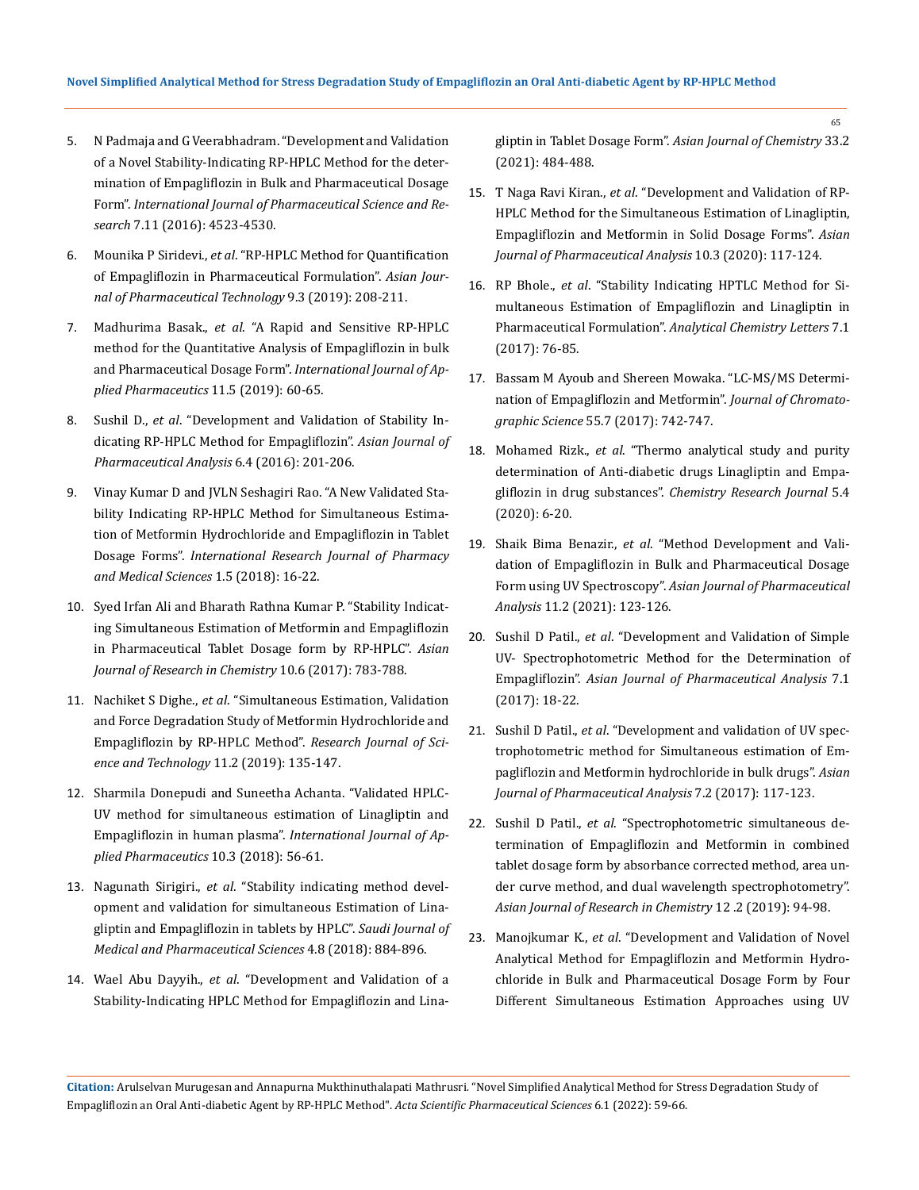- 5. [N Padmaja and G Veerabhadram. "Development and Validation](https://ijpsr.com/bft-article/development-and-validation-of-a-novel-stability-indicating-rp-hplc-method-for-the-determination-of-empagliflozin-in-bulk-and-pharmaceutical-dosage-form/)  [of a Novel Stability-Indicating RP-HPLC Method for the deter](https://ijpsr.com/bft-article/development-and-validation-of-a-novel-stability-indicating-rp-hplc-method-for-the-determination-of-empagliflozin-in-bulk-and-pharmaceutical-dosage-form/)[mination of Empagliflozin in Bulk and Pharmaceutical Dosage](https://ijpsr.com/bft-article/development-and-validation-of-a-novel-stability-indicating-rp-hplc-method-for-the-determination-of-empagliflozin-in-bulk-and-pharmaceutical-dosage-form/)  Form". *[International Journal of Pharmaceutical Science and Re](https://ijpsr.com/bft-article/development-and-validation-of-a-novel-stability-indicating-rp-hplc-method-for-the-determination-of-empagliflozin-in-bulk-and-pharmaceutical-dosage-form/)search* [7.11 \(2016\): 4523-4530.](https://ijpsr.com/bft-article/development-and-validation-of-a-novel-stability-indicating-rp-hplc-method-for-the-determination-of-empagliflozin-in-bulk-and-pharmaceutical-dosage-form/)
- 6. Mounika P Siridevi., *et al*[. "RP-HPLC Method for Quantification](https://www.researchgate.net/publication/338256755_RP-HPLC_Method_for_Quantification_of_Empagliflozin_in_Pharmaceutical_Formulation)  [of Empagliflozin in Pharmaceutical Formulation".](https://www.researchgate.net/publication/338256755_RP-HPLC_Method_for_Quantification_of_Empagliflozin_in_Pharmaceutical_Formulation) *Asian Jour[nal of Pharmaceutical Technology](https://www.researchgate.net/publication/338256755_RP-HPLC_Method_for_Quantification_of_Empagliflozin_in_Pharmaceutical_Formulation)* 9.3 (2019): 208-211.
- 7. Madhurima Basak., *et al*[. "A Rapid and Sensitive RP-HPLC](https://www.researchgate.net/publication/335760101_A_rapid_and_sensitive_rp-hplc_method_for_the_quantitative_analysis_of_empagliflozin_in_bulk_and_pharmaceutical_dosage_form)  [method for the Quantitative Analysis of Empagliflozin in bulk](https://www.researchgate.net/publication/335760101_A_rapid_and_sensitive_rp-hplc_method_for_the_quantitative_analysis_of_empagliflozin_in_bulk_and_pharmaceutical_dosage_form)  [and Pharmaceutical Dosage Form".](https://www.researchgate.net/publication/335760101_A_rapid_and_sensitive_rp-hplc_method_for_the_quantitative_analysis_of_empagliflozin_in_bulk_and_pharmaceutical_dosage_form) *International Journal of Ap[plied Pharmaceutics](https://www.researchgate.net/publication/335760101_A_rapid_and_sensitive_rp-hplc_method_for_the_quantitative_analysis_of_empagliflozin_in_bulk_and_pharmaceutical_dosage_form)* 11.5 (2019): 60-65.
- 8. Sushil D., *et al*[. "Development and Validation of Stability In](https://ajpaonline.com/AbstractView.aspx?PID=2016-6-4-2)[dicating RP-HPLC Method for Empagliflozin".](https://ajpaonline.com/AbstractView.aspx?PID=2016-6-4-2) *Asian Journal of [Pharmaceutical Analysis](https://ajpaonline.com/AbstractView.aspx?PID=2016-6-4-2)* 6.4 (2016): 201-206.
- 9. [Vinay Kumar D and JVLN Seshagiri Rao. "A New Validated Sta](http://irjpms.com/wp-content/uploads/2018/07/IRJPMS-V1N5P56-18.pdf)[bility Indicating RP-HPLC Method for Simultaneous Estima](http://irjpms.com/wp-content/uploads/2018/07/IRJPMS-V1N5P56-18.pdf)[tion of Metformin Hydrochloride and Empagliflozin in Tablet](http://irjpms.com/wp-content/uploads/2018/07/IRJPMS-V1N5P56-18.pdf)  Dosage Forms". *[International Research Journal of Pharmacy](http://irjpms.com/wp-content/uploads/2018/07/IRJPMS-V1N5P56-18.pdf)  [and Medical Sciences](http://irjpms.com/wp-content/uploads/2018/07/IRJPMS-V1N5P56-18.pdf)* 1.5 (2018): 16-22.
- 10. [Syed Irfan Ali and Bharath Rathna Kumar P. "Stability Indicat](https://ajrconline.org/AbstractView.aspx?PID=2017-10-6-11)[ing Simultaneous Estimation of Metformin and Empagliflozin](https://ajrconline.org/AbstractView.aspx?PID=2017-10-6-11)  [in Pharmaceutical Tablet Dosage form by RP-HPLC".](https://ajrconline.org/AbstractView.aspx?PID=2017-10-6-11) *Asian [Journal of Research in Chemistry](https://ajrconline.org/AbstractView.aspx?PID=2017-10-6-11)* 10.6 (2017): 783-788.
- 11. Nachiket S Dighe., *et al*[. "Simultaneous Estimation, Validation](https://www.researchgate.net/publication/333273679_Simultaneous_Estimation_Validation_and_Force_Degradation_Study_of_Metformin_Hydrochloride_and_Empagliflozin_by_RP-HPLC_Method)  [and Force Degradation Study of Metformin Hydrochloride and](https://www.researchgate.net/publication/333273679_Simultaneous_Estimation_Validation_and_Force_Degradation_Study_of_Metformin_Hydrochloride_and_Empagliflozin_by_RP-HPLC_Method)  [Empagliflozin by RP-HPLC Method".](https://www.researchgate.net/publication/333273679_Simultaneous_Estimation_Validation_and_Force_Degradation_Study_of_Metformin_Hydrochloride_and_Empagliflozin_by_RP-HPLC_Method) *Research Journal of Sci[ence and Technology](https://www.researchgate.net/publication/333273679_Simultaneous_Estimation_Validation_and_Force_Degradation_Study_of_Metformin_Hydrochloride_and_Empagliflozin_by_RP-HPLC_Method)* 11.2 (2019): 135-147.
- 12. [Sharmila Donepudi and Suneetha Achanta. "Validated HPLC-](https://innovareacademics.in/journals/index.php/ijap/article/view/24662)[UV method for simultaneous estimation of Linagliptin and](https://innovareacademics.in/journals/index.php/ijap/article/view/24662)  Empagliflozin in human plasma". *[International Journal of Ap](https://innovareacademics.in/journals/index.php/ijap/article/view/24662)[plied Pharmaceutics](https://innovareacademics.in/journals/index.php/ijap/article/view/24662)* 10.3 (2018): 56-61.
- 13. Nagunath Sirigiri., *et al*[. "Stability indicating method devel](http://scholarsmepub.com/wp-content/uploads/2018/08/SJMPS-48-884-896-c.pdf)[opment and validation for simultaneous Estimation of Lina](http://scholarsmepub.com/wp-content/uploads/2018/08/SJMPS-48-884-896-c.pdf)[gliptin and Empagliflozin in tablets by HPLC".](http://scholarsmepub.com/wp-content/uploads/2018/08/SJMPS-48-884-896-c.pdf) *Saudi Journal of [Medical and Pharmaceutical Sciences](http://scholarsmepub.com/wp-content/uploads/2018/08/SJMPS-48-884-896-c.pdf)* 4.8 (2018): 884-896.
- 14. Wael Abu Dayyih., *et al*[. "Development and Validation of a](https://www.researchgate.net/publication/348523962_Development_and_Validation_of_a_Stability-Indicating_HPLC_Method_for_Empagliflozin_and_Linagliptin_in_Tablet_Dosage_Form)  [Stability-Indicating HPLC Method for Empagliflozin and Lina-](https://www.researchgate.net/publication/348523962_Development_and_Validation_of_a_Stability-Indicating_HPLC_Method_for_Empagliflozin_and_Linagliptin_in_Tablet_Dosage_Form)

gliptin in Tablet Dosage Form". *[Asian Journal of Chemistry](https://www.researchgate.net/publication/348523962_Development_and_Validation_of_a_Stability-Indicating_HPLC_Method_for_Empagliflozin_and_Linagliptin_in_Tablet_Dosage_Form)* 33.2 [\(2021\): 484-488.](https://www.researchgate.net/publication/348523962_Development_and_Validation_of_a_Stability-Indicating_HPLC_Method_for_Empagliflozin_and_Linagliptin_in_Tablet_Dosage_Form)

- 15. T Naga Ravi Kiran., *et al*[. "Development and Validation of RP-](https://www.indianjournals.com/ijor.aspx?target=ijor:ajpa&volume=10&issue=3&article=001)[HPLC Method for the Simultaneous Estimation of Linagliptin,](https://www.indianjournals.com/ijor.aspx?target=ijor:ajpa&volume=10&issue=3&article=001)  [Empagliflozin and Metformin in Solid Dosage Forms".](https://www.indianjournals.com/ijor.aspx?target=ijor:ajpa&volume=10&issue=3&article=001) *Asian [Journal of Pharmaceutical Analysis](https://www.indianjournals.com/ijor.aspx?target=ijor:ajpa&volume=10&issue=3&article=001)* 10.3 (2020): 117-124.
- 16. RP Bhole., *et al*[. "Stability Indicating HPTLC Method for Si](https://www.tandfonline.com/doi/abs/10.1080/22297928.2017.1279567)[multaneous Estimation of Empagliflozin and Linagliptin in](https://www.tandfonline.com/doi/abs/10.1080/22297928.2017.1279567)  Pharmaceutical Formulation". *[Analytical Chemistry Letters](https://www.tandfonline.com/doi/abs/10.1080/22297928.2017.1279567)* 7.1 [\(2017\): 76-85.](https://www.tandfonline.com/doi/abs/10.1080/22297928.2017.1279567)
- 17. [Bassam M Ayoub and Shereen Mowaka. "LC-MS/MS Determi](https://pubmed.ncbi.nlm.nih.gov/28383657/)[nation of Empagliflozin and Metformin".](https://pubmed.ncbi.nlm.nih.gov/28383657/) *Journal of Chromatographic Science* [55.7 \(2017\): 742-747.](https://pubmed.ncbi.nlm.nih.gov/28383657/)
- 18. Mohamed Rizk., *et al*[. "Thermo analytical study and purity](https://chemrj.org/download/vol-5-iss-4-2020/chemrj-2020-05-04-6-20.pdf)  [determination of Anti-diabetic drugs Linagliptin and Empa](https://chemrj.org/download/vol-5-iss-4-2020/chemrj-2020-05-04-6-20.pdf)gliflozin in drug substances". *[Chemistry Research Journal](https://chemrj.org/download/vol-5-iss-4-2020/chemrj-2020-05-04-6-20.pdf)* 5.4 [\(2020\): 6-20.](https://chemrj.org/download/vol-5-iss-4-2020/chemrj-2020-05-04-6-20.pdf)
- 19. Shaik Bima Benazir., *et al*[. "Method Development and Vali](https://ajpaonline.com/AbstractView.aspx?PID=2021-11-2-11)[dation of Empagliflozin in Bulk and Pharmaceutical Dosage](https://ajpaonline.com/AbstractView.aspx?PID=2021-11-2-11)  Form using UV Spectroscopy". *[Asian Journal of Pharmaceutical](https://ajpaonline.com/AbstractView.aspx?PID=2021-11-2-11) Analysis* [11.2 \(2021\): 123-126.](https://ajpaonline.com/AbstractView.aspx?PID=2021-11-2-11)
- 20. Sushil D Patil., *et al*[. "Development and Validation of Simple](https://www.researchgate.net/publication/319958176_Development_and_Validation_of_Simple_UV-Spectrophotometric_Method_for_the_Determination_of_Empagliflozin)  [UV- Spectrophotometric Method for the Determination of](https://www.researchgate.net/publication/319958176_Development_and_Validation_of_Simple_UV-Spectrophotometric_Method_for_the_Determination_of_Empagliflozin)  Empagliflozin". *[Asian Journal of Pharmaceutical Analysis](https://www.researchgate.net/publication/319958176_Development_and_Validation_of_Simple_UV-Spectrophotometric_Method_for_the_Determination_of_Empagliflozin)* 7.1 [\(2017\): 18-22.](https://www.researchgate.net/publication/319958176_Development_and_Validation_of_Simple_UV-Spectrophotometric_Method_for_the_Determination_of_Empagliflozin)
- 21. Sushil D Patil., *et al*[. "Development and validation of UV spec](https://ajpaonline.com/AbstractView.aspx?PID=2017-7-2-10)[trophotometric method for Simultaneous estimation of Em](https://ajpaonline.com/AbstractView.aspx?PID=2017-7-2-10)[pagliflozin and Metformin hydrochloride in bulk drugs".](https://ajpaonline.com/AbstractView.aspx?PID=2017-7-2-10) *Asian [Journal of Pharmaceutical Analysis](https://ajpaonline.com/AbstractView.aspx?PID=2017-7-2-10)* 7.2 (2017): 117-123.
- 22. Sushil D Patil., *et al*[. "Spectrophotometric simultaneous de](https://ajrconline.org/AbstractView.aspx?PID=2019-12-2-11)[termination of Empagliflozin and Metformin in combined](https://ajrconline.org/AbstractView.aspx?PID=2019-12-2-11)  [tablet dosage form by absorbance corrected method, area un](https://ajrconline.org/AbstractView.aspx?PID=2019-12-2-11)[der curve method, and dual wavelength spectrophotometry".](https://ajrconline.org/AbstractView.aspx?PID=2019-12-2-11)  *[Asian Journal of Research in Chemistry](https://ajrconline.org/AbstractView.aspx?PID=2019-12-2-11)* 12 .2 (2019): 94-98.
- 23. Manojkumar K., *et al*[. "Development and Validation of Novel](https://rjptonline.org/AbstractView.aspx?PID=2020-13-3-33)  [Analytical Method for Empagliflozin and Metformin Hydro](https://rjptonline.org/AbstractView.aspx?PID=2020-13-3-33)[chloride in Bulk and Pharmaceutical Dosage Form by Four](https://rjptonline.org/AbstractView.aspx?PID=2020-13-3-33)  [Different Simultaneous Estimation Approaches using UV](https://rjptonline.org/AbstractView.aspx?PID=2020-13-3-33)

**Citation:** Arulselvan Murugesan and Annapurna Mukthinuthalapati Mathrusri*.* "Novel Simplified Analytical Method for Stress Degradation Study of Empagliflozin an Oral Anti-diabetic Agent by RP-HPLC Method". *Acta Scientific Pharmaceutical Sciences* 6.1 (2022): 59-66.